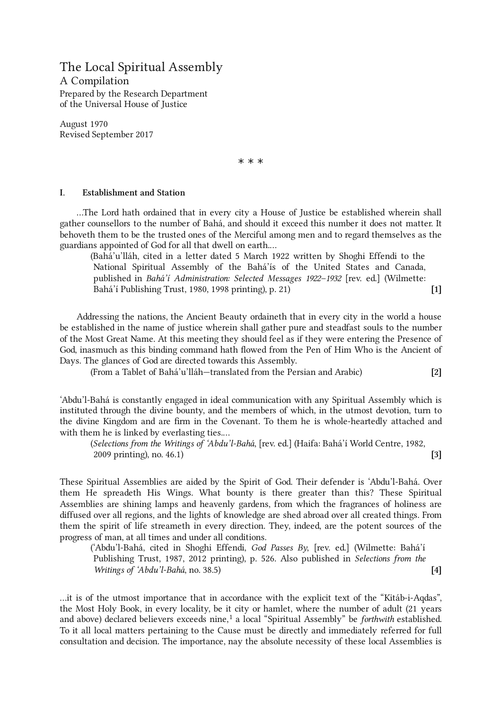The Local Spiritual Assembly A Compilation Prepared by the Research Department of the Universal House of Justice

August 1970 Revised September 2017

\* \* \*

### I. Establishment and Station

…The Lord hath ordained that in every city a House of Justice be established wherein shall gather counsellors to the number of Bahá, and should it exceed this number it does not matter. It behoveth them to be the trusted ones of the Merciful among men and to regard themselves as the guardians appointed of God for all that dwell on earth.…

(Bahá'u'lláh, cited in a letter dated 5 March 1922 written by Shoghi Effendi to the National Spiritual Assembly of the Bahá'ís of the United States and Canada, published in Bahá'í Administration: Selected Messages 1922–1932 [rev. ed.] (Wilmette: Bahá'í Publishing Trust, 1980, 1998 printing), p. 21) [1]

Addressing the nations, the Ancient Beauty ordaineth that in every city in the world a house be established in the name of justice wherein shall gather pure and steadfast souls to the number of the Most Great Name. At this meeting they should feel as if they were entering the Presence of God, inasmuch as this binding command hath flowed from the Pen of Him Who is the Ancient of Days. The glances of God are directed towards this Assembly.

(From a Tablet of Bahá'u'lláh—translated from the Persian and Arabic) [2]

'Abdu'l-Bahá is constantly engaged in ideal communication with any Spiritual Assembly which is instituted through the divine bounty, and the members of which, in the utmost devotion, turn to the divine Kingdom and are firm in the Covenant. To them he is whole-heartedly attached and with them he is linked by everlasting ties.…

(Selections from the Writings of 'Abdu'l-Bahá, [rev. ed.] (Haifa: Bahá'í World Centre, 1982, 2009 printing), no. 46.1) [3]

These Spiritual Assemblies are aided by the Spirit of God. Their defender is 'Abdu'l-Bahá. Over them He spreadeth His Wings. What bounty is there greater than this? These Spiritual Assemblies are shining lamps and heavenly gardens, from which the fragrances of holiness are diffused over all regions, and the lights of knowledge are shed abroad over all created things. From them the spirit of life streameth in every direction. They, indeed, are the potent sources of the progress of man, at all times and under all conditions.

('Abdu'l-Bahá, cited in Shoghi Effendi, God Passes By, [rev. ed.] (Wilmette: Bahá'í Publishing Trust, 1987, 2012 printing), p. 526. Also published in Selections from the Writings of 'Abdu'l-Bahá, no. 38.5)

<span id="page-0-0"></span>…it is of the utmost importance that in accordance with the explicit text of the "Kitáb-i-Aqdas", the Most Holy Book, in every locality, be it city or hamlet, where the number of adult (21 years and above) declared believers exceeds nine,<sup>[1](#page-14-0)</sup> a local "Spiritual Assembly" be *forthwith* established. To it all local matters pertaining to the Cause must be directly and immediately referred for full consultation and decision. The importance, nay the absolute necessity of these local Assemblies is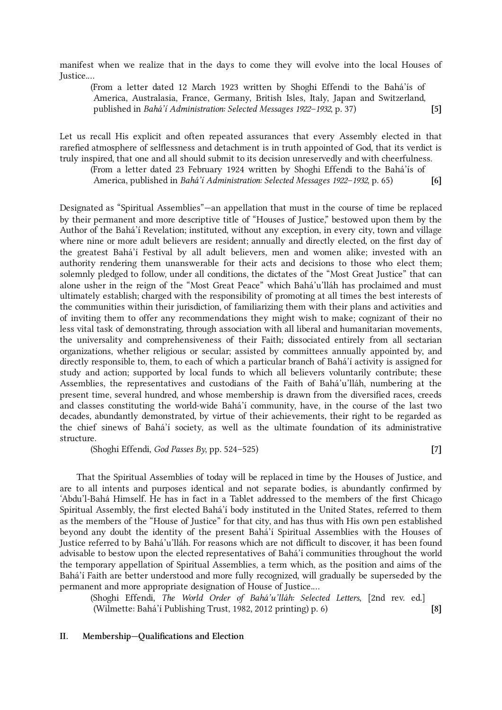manifest when we realize that in the days to come they will evolve into the local Houses of Justice.…

(From a letter dated 12 March 1923 written by Shoghi Effendi to the Bahá'ís of America, Australasia, France, Germany, British Isles, Italy, Japan and Switzerland, published in Bahá'í Administration: Selected Messages 1922–1932, p. 37) [5]

Let us recall His explicit and often repeated assurances that every Assembly elected in that rarefied atmosphere of selflessness and detachment is in truth appointed of God, that its verdict is truly inspired, that one and all should submit to its decision unreservedly and with cheerfulness.

(From a letter dated 23 February 1924 written by Shoghi Effendi to the Bahá'ís of America, published in Bahá'í Administration: Selected Messages 1922–1932, p. 65) [6]

Designated as "Spiritual Assemblies"—an appellation that must in the course of time be replaced by their permanent and more descriptive title of "Houses of Justice," bestowed upon them by the Author of the Bahá'í Revelation; instituted, without any exception, in every city, town and village where nine or more adult believers are resident; annually and directly elected, on the first day of the greatest Bahá'í Festival by all adult believers, men and women alike; invested with an authority rendering them unanswerable for their acts and decisions to those who elect them; solemnly pledged to follow, under all conditions, the dictates of the "Most Great Justice" that can alone usher in the reign of the "Most Great Peace" which Bahá'u'lláh has proclaimed and must ultimately establish; charged with the responsibility of promoting at all times the best interests of the communities within their jurisdiction, of familiarizing them with their plans and activities and of inviting them to offer any recommendations they might wish to make; cognizant of their no less vital task of demonstrating, through association with all liberal and humanitarian movements, the universality and comprehensiveness of their Faith; dissociated entirely from all sectarian organizations, whether religious or secular; assisted by committees annually appointed by, and directly responsible to, them, to each of which a particular branch of Bahá'í activity is assigned for study and action; supported by local funds to which all believers voluntarily contribute; these Assemblies, the representatives and custodians of the Faith of Bahá'u'lláh, numbering at the present time, several hundred, and whose membership is drawn from the diversified races, creeds and classes constituting the world-wide Bahá'í community, have, in the course of the last two decades, abundantly demonstrated, by virtue of their achievements, their right to be regarded as the chief sinews of Bahá'í society, as well as the ultimate foundation of its administrative structure.

(Shoghi Effendi, God Passes By, pp. 524–525)  $[7]$ 

That the Spiritual Assemblies of today will be replaced in time by the Houses of Justice, and are to all intents and purposes identical and not separate bodies, is abundantly confirmed by 'Abdu'l-Bahá Himself. He has in fact in a Tablet addressed to the members of the first Chicago Spiritual Assembly, the first elected Bahá'í body instituted in the United States, referred to them as the members of the "House of Justice" for that city, and has thus with His own pen established beyond any doubt the identity of the present Bahá'í Spiritual Assemblies with the Houses of Justice referred to by Bahá'u'lláh. For reasons which are not difficult to discover, it has been found advisable to bestow upon the elected representatives of Bahá'í communities throughout the world the temporary appellation of Spiritual Assemblies, a term which, as the position and aims of the Bahá'í Faith are better understood and more fully recognized, will gradually be superseded by the permanent and more appropriate designation of House of Justice.…

(Shoghi Effendi, The World Order of Bahá'u'lláh: Selected Letters, [2nd rev. ed.] (Wilmette: Bahá'í Publishing Trust, 1982, 2012 printing) p. 6) [8]

## II. Membership—Qualifications and Election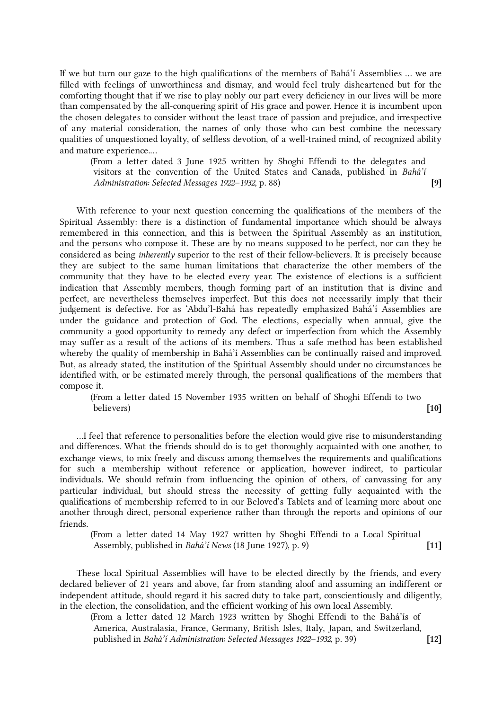If we but turn our gaze to the high qualifications of the members of Bahá'í Assemblies … we are filled with feelings of unworthiness and dismay, and would feel truly disheartened but for the comforting thought that if we rise to play nobly our part every deficiency in our lives will be more than compensated by the all-conquering spirit of His grace and power. Hence it is incumbent upon the chosen delegates to consider without the least trace of passion and prejudice, and irrespective of any material consideration, the names of only those who can best combine the necessary qualities of unquestioned loyalty, of selfless devotion, of a well-trained mind, of recognized ability and mature experience.…

(From a letter dated 3 June 1925 written by Shoghi Effendi to the delegates and visitors at the convention of the United States and Canada, published in Bahá'í Administration: Selected Messages 1922–1932, p. 88) [9]

With reference to your next question concerning the qualifications of the members of the Spiritual Assembly: there is a distinction of fundamental importance which should be always remembered in this connection, and this is between the Spiritual Assembly as an institution, and the persons who compose it. These are by no means supposed to be perfect, nor can they be considered as being inherently superior to the rest of their fellow-believers. It is precisely because they are subject to the same human limitations that characterize the other members of the community that they have to be elected every year. The existence of elections is a sufficient indication that Assembly members, though forming part of an institution that is divine and perfect, are nevertheless themselves imperfect. But this does not necessarily imply that their judgement is defective. For as 'Abdu'l-Bahá has repeatedly emphasized Bahá'í Assemblies are under the guidance and protection of God. The elections, especially when annual, give the community a good opportunity to remedy any defect or imperfection from which the Assembly may suffer as a result of the actions of its members. Thus a safe method has been established whereby the quality of membership in Bahá'í Assemblies can be continually raised and improved. But, as already stated, the institution of the Spiritual Assembly should under no circumstances be identified with, or be estimated merely through, the personal qualifications of the members that compose it.

(From a letter dated 15 November 1935 written on behalf of Shoghi Effendi to two believers) [10]

…I feel that reference to personalities before the election would give rise to misunderstanding and differences. What the friends should do is to get thoroughly acquainted with one another, to exchange views, to mix freely and discuss among themselves the requirements and qualifications for such a membership without reference or application, however indirect, to particular individuals. We should refrain from influencing the opinion of others, of canvassing for any particular individual, but should stress the necessity of getting fully acquainted with the qualifications of membership referred to in our Beloved's Tablets and of learning more about one another through direct, personal experience rather than through the reports and opinions of our friends.

(From a letter dated 14 May 1927 written by Shoghi Effendi to a Local Spiritual Assembly, published in Bahá'í News (18 June 1927), p. 9) [11]

These local Spiritual Assemblies will have to be elected directly by the friends, and every declared believer of 21 years and above, far from standing aloof and assuming an indifferent or independent attitude, should regard it his sacred duty to take part, conscientiously and diligently, in the election, the consolidation, and the efficient working of his own local Assembly.

(From a letter dated 12 March 1923 written by Shoghi Effendi to the Bahá'ís of America, Australasia, France, Germany, British Isles, Italy, Japan, and Switzerland, published in Bahá'í Administration: Selected Messages 1922–1932, p. 39) [12]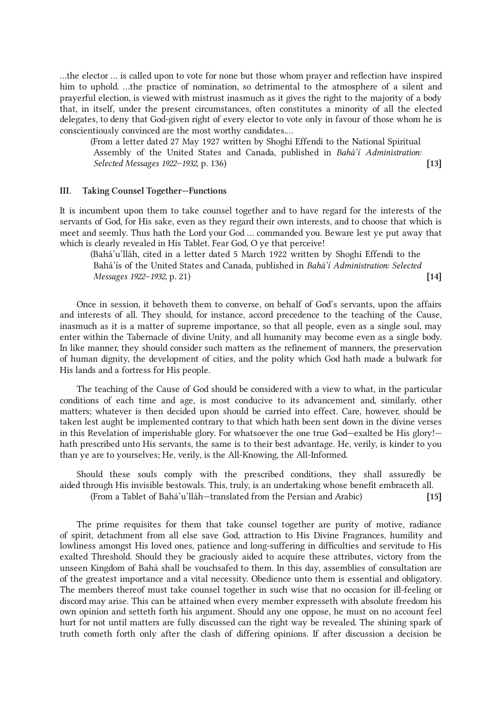…the elector … is called upon to vote for none but those whom prayer and reflection have inspired him to uphold. …the practice of nomination, so detrimental to the atmosphere of a silent and prayerful election, is viewed with mistrust inasmuch as it gives the right to the majority of a body that, in itself, under the present circumstances, often constitutes a minority of all the elected delegates, to deny that God-given right of every elector to vote only in favour of those whom he is conscientiously convinced are the most worthy candidates.…

(From a letter dated 27 May 1927 written by Shoghi Effendi to the National Spiritual Assembly of the United States and Canada, published in Bahá'í Administration: Selected Messages 1922–1932, p. 136) [13]

## III. Taking Counsel Together—Functions

It is incumbent upon them to take counsel together and to have regard for the interests of the servants of God, for His sake, even as they regard their own interests, and to choose that which is meet and seemly. Thus hath the Lord your God … commanded you. Beware lest ye put away that which is clearly revealed in His Tablet. Fear God, O ye that perceive!

(Bahá'u'lláh, cited in a letter dated 5 March 1922 written by Shoghi Effendi to the Bahá'ís of the United States and Canada, published in Bahá'í Administration: Selected Messages 1922–1932, p. 21) [14]

Once in session, it behoveth them to converse, on behalf of God's servants, upon the affairs and interests of all. They should, for instance, accord precedence to the teaching of the Cause, inasmuch as it is a matter of supreme importance, so that all people, even as a single soul, may enter within the Tabernacle of divine Unity, and all humanity may become even as a single body. In like manner, they should consider such matters as the refinement of manners, the preservation of human dignity, the development of cities, and the polity which God hath made a bulwark for His lands and a fortress for His people.

The teaching of the Cause of God should be considered with a view to what, in the particular conditions of each time and age, is most conducive to its advancement and, similarly, other matters; whatever is then decided upon should be carried into effect. Care, however, should be taken lest aught be implemented contrary to that which hath been sent down in the divine verses in this Revelation of imperishable glory. For whatsoever the one true God—exalted be His glory! hath prescribed unto His servants, the same is to their best advantage. He, verily, is kinder to you than ye are to yourselves; He, verily, is the All-Knowing, the All-Informed.

Should these souls comply with the prescribed conditions, they shall assuredly be aided through His invisible bestowals. This, truly, is an undertaking whose benefit embraceth all. (From a Tablet of Bahá'u'lláh—translated from the Persian and Arabic) [15]

The prime requisites for them that take counsel together are purity of motive, radiance of spirit, detachment from all else save God, attraction to His Divine Fragrances, humility and lowliness amongst His loved ones, patience and long-suffering in difficulties and servitude to His exalted Threshold. Should they be graciously aided to acquire these attributes, victory from the unseen Kingdom of Bahá shall be vouchsafed to them. In this day, assemblies of consultation are of the greatest importance and a vital necessity. Obedience unto them is essential and obligatory. The members thereof must take counsel together in such wise that no occasion for ill-feeling or discord may arise. This can be attained when every member expresseth with absolute freedom his own opinion and setteth forth his argument. Should any one oppose, he must on no account feel hurt for not until matters are fully discussed can the right way be revealed. The shining spark of truth cometh forth only after the clash of differing opinions. If after discussion a decision be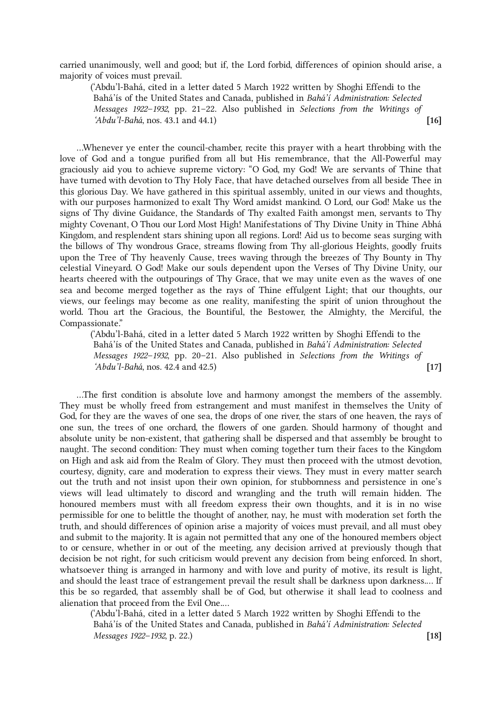carried unanimously, well and good; but if, the Lord forbid, differences of opinion should arise, a majority of voices must prevail.

('Abdu'l-Bahá, cited in a letter dated 5 March 1922 written by Shoghi Effendi to the Bahá'ís of the United States and Canada, published in Bahá'í Administration: Selected Messages 1922–1932, pp. 21–22. Also published in Selections from the Writings of 'Abdu'l-Bahá, nos. 43.1 and 44.1) [16]

…Whenever ye enter the council-chamber, recite this prayer with a heart throbbing with the love of God and a tongue purified from all but His remembrance, that the All-Powerful may graciously aid you to achieve supreme victory: "O God, my God! We are servants of Thine that have turned with devotion to Thy Holy Face, that have detached ourselves from all beside Thee in this glorious Day. We have gathered in this spiritual assembly, united in our views and thoughts, with our purposes harmonized to exalt Thy Word amidst mankind. O Lord, our God! Make us the signs of Thy divine Guidance, the Standards of Thy exalted Faith amongst men, servants to Thy mighty Covenant, O Thou our Lord Most High! Manifestations of Thy Divine Unity in Thine Abhá Kingdom, and resplendent stars shining upon all regions. Lord! Aid us to become seas surging with the billows of Thy wondrous Grace, streams flowing from Thy all-glorious Heights, goodly fruits upon the Tree of Thy heavenly Cause, trees waving through the breezes of Thy Bounty in Thy celestial Vineyard. O God! Make our souls dependent upon the Verses of Thy Divine Unity, our hearts cheered with the outpourings of Thy Grace, that we may unite even as the waves of one sea and become merged together as the rays of Thine effulgent Light; that our thoughts, our views, our feelings may become as one reality, manifesting the spirit of union throughout the world. Thou art the Gracious, the Bountiful, the Bestower, the Almighty, the Merciful, the Compassionate."

('Abdu'l-Bahá, cited in a letter dated 5 March 1922 written by Shoghi Effendi to the Bahá'ís of the United States and Canada, published in Bahá'í Administration: Selected Messages 1922–1932, pp. 20–21. Also published in Selections from the Writings of 'Abdu'l-Bahá, nos. 42.4 and 42.5) [17]

…The first condition is absolute love and harmony amongst the members of the assembly. They must be wholly freed from estrangement and must manifest in themselves the Unity of God, for they are the waves of one sea, the drops of one river, the stars of one heaven, the rays of one sun, the trees of one orchard, the flowers of one garden. Should harmony of thought and absolute unity be non-existent, that gathering shall be dispersed and that assembly be brought to naught. The second condition: They must when coming together turn their faces to the Kingdom on High and ask aid from the Realm of Glory. They must then proceed with the utmost devotion, courtesy, dignity, care and moderation to express their views. They must in every matter search out the truth and not insist upon their own opinion, for stubbornness and persistence in one's views will lead ultimately to discord and wrangling and the truth will remain hidden. The honoured members must with all freedom express their own thoughts, and it is in no wise permissible for one to belittle the thought of another, nay, he must with moderation set forth the truth, and should differences of opinion arise a majority of voices must prevail, and all must obey and submit to the majority. It is again not permitted that any one of the honoured members object to or censure, whether in or out of the meeting, any decision arrived at previously though that decision be not right, for such criticism would prevent any decision from being enforced. In short, whatsoever thing is arranged in harmony and with love and purity of motive, its result is light, and should the least trace of estrangement prevail the result shall be darkness upon darkness.… If this be so regarded, that assembly shall be of God, but otherwise it shall lead to coolness and alienation that proceed from the Evil One.…

('Abdu'l-Bahá, cited in a letter dated 5 March 1922 written by Shoghi Effendi to the Bahá'ís of the United States and Canada, published in Bahá'í Administration: Selected Messages 1922–1932, p. 22.) [18]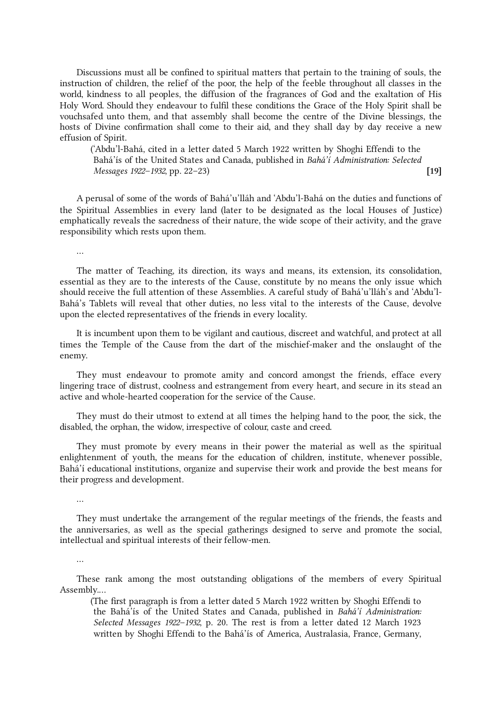Discussions must all be confined to spiritual matters that pertain to the training of souls, the instruction of children, the relief of the poor, the help of the feeble throughout all classes in the world, kindness to all peoples, the diffusion of the fragrances of God and the exaltation of His Holy Word. Should they endeavour to fulfil these conditions the Grace of the Holy Spirit shall be vouchsafed unto them, and that assembly shall become the centre of the Divine blessings, the hosts of Divine confirmation shall come to their aid, and they shall day by day receive a new effusion of Spirit.

('Abdu'l-Bahá, cited in a letter dated 5 March 1922 written by Shoghi Effendi to the Bahá'ís of the United States and Canada, published in Bahá'í Administration: Selected Messages 1922–1932, pp. 22–23) [19]

A perusal of some of the words of Bahá'u'lláh and 'Abdu'l-Bahá on the duties and functions of the Spiritual Assemblies in every land (later to be designated as the local Houses of Justice) emphatically reveals the sacredness of their nature, the wide scope of their activity, and the grave responsibility which rests upon them.

…

The matter of Teaching, its direction, its ways and means, its extension, its consolidation, essential as they are to the interests of the Cause, constitute by no means the only issue which should receive the full attention of these Assemblies. A careful study of Bahá'u'lláh's and 'Abdu'l-Bahá's Tablets will reveal that other duties, no less vital to the interests of the Cause, devolve upon the elected representatives of the friends in every locality.

It is incumbent upon them to be vigilant and cautious, discreet and watchful, and protect at all times the Temple of the Cause from the dart of the mischief-maker and the onslaught of the enemy.

They must endeavour to promote amity and concord amongst the friends, efface every lingering trace of distrust, coolness and estrangement from every heart, and secure in its stead an active and whole-hearted cooperation for the service of the Cause.

They must do their utmost to extend at all times the helping hand to the poor, the sick, the disabled, the orphan, the widow, irrespective of colour, caste and creed.

They must promote by every means in their power the material as well as the spiritual enlightenment of youth, the means for the education of children, institute, whenever possible, Bahá'í educational institutions, organize and supervise their work and provide the best means for their progress and development.

…

…

They must undertake the arrangement of the regular meetings of the friends, the feasts and the anniversaries, as well as the special gatherings designed to serve and promote the social, intellectual and spiritual interests of their fellow-men.

These rank among the most outstanding obligations of the members of every Spiritual Assembly.…

(The first paragraph is from a letter dated 5 March 1922 written by Shoghi Effendi to the Bahá'ís of the United States and Canada, published in Bahá'í Administration: Selected Messages 1922–1932, p. 20. The rest is from a letter dated 12 March 1923 written by Shoghi Effendi to the Bahá'ís of America, Australasia, France, Germany,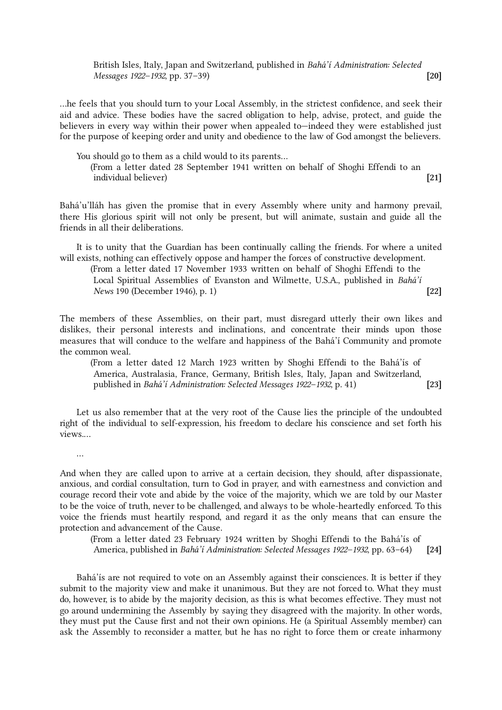British Isles, Italy, Japan and Switzerland, published in Bahá'í Administration: Selected Messages 1922–1932, pp. 37–39) [20]

…he feels that you should turn to your Local Assembly, in the strictest confidence, and seek their aid and advice. These bodies have the sacred obligation to help, advise, protect, and guide the believers in every way within their power when appealed to—indeed they were established just for the purpose of keeping order and unity and obedience to the law of God amongst the believers.

You should go to them as a child would to its parents… (From a letter dated 28 September 1941 written on behalf of Shoghi Effendi to an individual believer) [21]

Bahá'u'lláh has given the promise that in every Assembly where unity and harmony prevail, there His glorious spirit will not only be present, but will animate, sustain and guide all the friends in all their deliberations.

It is to unity that the Guardian has been continually calling the friends. For where a united will exists, nothing can effectively oppose and hamper the forces of constructive development.

(From a letter dated 17 November 1933 written on behalf of Shoghi Effendi to the Local Spiritual Assemblies of Evanston and Wilmette, U.S.A., published in Bahá'í News 190 (December 1946), p. 1) [22]

The members of these Assemblies, on their part, must disregard utterly their own likes and dislikes, their personal interests and inclinations, and concentrate their minds upon those measures that will conduce to the welfare and happiness of the Bahá'í Community and promote the common weal.

(From a letter dated 12 March 1923 written by Shoghi Effendi to the Bahá'ís of America, Australasia, France, Germany, British Isles, Italy, Japan and Switzerland, published in Bahá'í Administration: Selected Messages 1922–1932, p. 41) [23]

Let us also remember that at the very root of the Cause lies the principle of the undoubted right of the individual to self-expression, his freedom to declare his conscience and set forth his views.…

…

And when they are called upon to arrive at a certain decision, they should, after dispassionate, anxious, and cordial consultation, turn to God in prayer, and with earnestness and conviction and courage record their vote and abide by the voice of the majority, which we are told by our Master to be the voice of truth, never to be challenged, and always to be whole-heartedly enforced. To this voice the friends must heartily respond, and regard it as the only means that can ensure the protection and advancement of the Cause.

(From a letter dated 23 February 1924 written by Shoghi Effendi to the Bahá'ís of America, published in Bahá'í Administration: Selected Messages 1922–1932, pp. 63–64) [24]

Bahá'ís are not required to vote on an Assembly against their consciences. It is better if they submit to the majority view and make it unanimous. But they are not forced to. What they must do, however, is to abide by the majority decision, as this is what becomes effective. They must not go around undermining the Assembly by saying they disagreed with the majority. In other words, they must put the Cause first and not their own opinions. He (a Spiritual Assembly member) can ask the Assembly to reconsider a matter, but he has no right to force them or create inharmony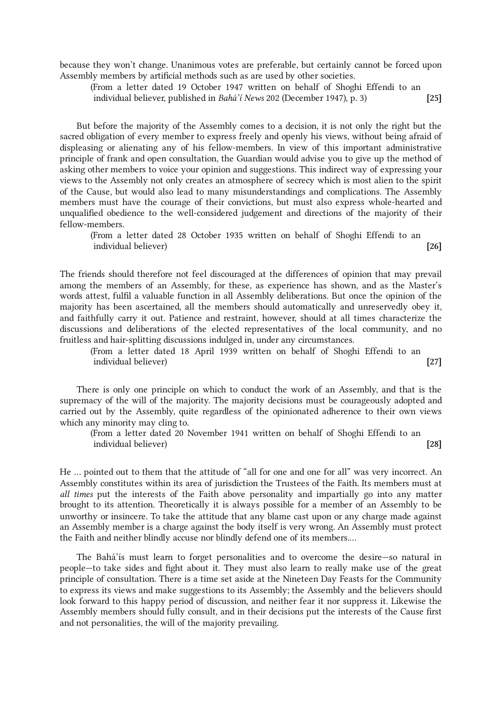because they won't change. Unanimous votes are preferable, but certainly cannot be forced upon Assembly members by artificial methods such as are used by other societies.

(From a letter dated 19 October 1947 written on behalf of Shoghi Effendi to an individual believer, published in Bahá'í News 202 (December 1947), p. 3) [25]

But before the majority of the Assembly comes to a decision, it is not only the right but the sacred obligation of every member to express freely and openly his views, without being afraid of displeasing or alienating any of his fellow-members. In view of this important administrative principle of frank and open consultation, the Guardian would advise you to give up the method of asking other members to voice your opinion and suggestions. This indirect way of expressing your views to the Assembly not only creates an atmosphere of secrecy which is most alien to the spirit of the Cause, but would also lead to many misunderstandings and complications. The Assembly members must have the courage of their convictions, but must also express whole-hearted and unqualified obedience to the well-considered judgement and directions of the majority of their fellow-members.

(From a letter dated 28 October 1935 written on behalf of Shoghi Effendi to an individual believer) [26]

The friends should therefore not feel discouraged at the differences of opinion that may prevail among the members of an Assembly, for these, as experience has shown, and as the Master's words attest, fulfil a valuable function in all Assembly deliberations. But once the opinion of the majority has been ascertained, all the members should automatically and unreservedly obey it, and faithfully carry it out. Patience and restraint, however, should at all times characterize the discussions and deliberations of the elected representatives of the local community, and no fruitless and hair-splitting discussions indulged in, under any circumstances.

(From a letter dated 18 April 1939 written on behalf of Shoghi Effendi to an individual believer) [27]

There is only one principle on which to conduct the work of an Assembly, and that is the supremacy of the will of the majority. The majority decisions must be courageously adopted and carried out by the Assembly, quite regardless of the opinionated adherence to their own views which any minority may cling to.

(From a letter dated 20 November 1941 written on behalf of Shoghi Effendi to an individual believer) [28]

He … pointed out to them that the attitude of "all for one and one for all" was very incorrect. An Assembly constitutes within its area of jurisdiction the Trustees of the Faith. Its members must at all times put the interests of the Faith above personality and impartially go into any matter brought to its attention. Theoretically it is always possible for a member of an Assembly to be unworthy or insincere. To take the attitude that any blame cast upon or any charge made against an Assembly member is a charge against the body itself is very wrong. An Assembly must protect the Faith and neither blindly accuse nor blindly defend one of its members.…

The Bahá'ís must learn to forget personalities and to overcome the desire—so natural in people—to take sides and fight about it. They must also learn to really make use of the great principle of consultation. There is a time set aside at the Nineteen Day Feasts for the Community to express its views and make suggestions to its Assembly; the Assembly and the believers should look forward to this happy period of discussion, and neither fear it nor suppress it. Likewise the Assembly members should fully consult, and in their decisions put the interests of the Cause first and not personalities, the will of the majority prevailing.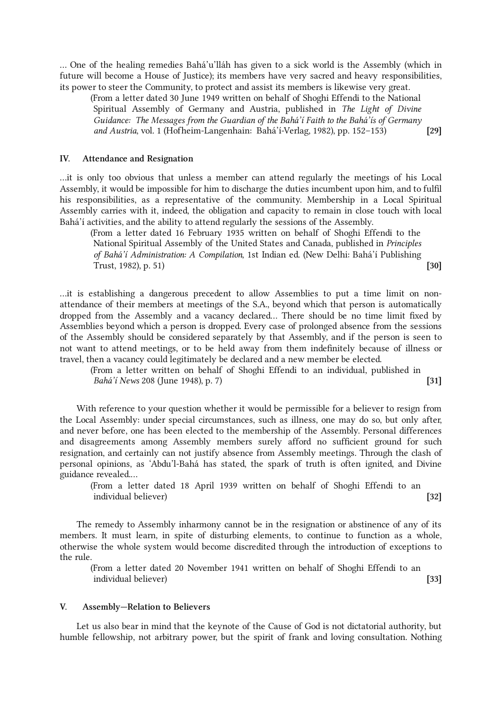… One of the healing remedies Bahá'u'lláh has given to a sick world is the Assembly (which in future will become a House of Justice); its members have very sacred and heavy responsibilities, its power to steer the Community, to protect and assist its members is likewise very great.

(From a letter dated 30 June 1949 written on behalf of Shoghi Effendi to the National Spiritual Assembly of Germany and Austria, published in The Light of Divine Guidance: The Messages from the Guardian of the Bahá'í Faith to the Bahá'ís of Germany and Austria, vol. 1 (Hofheim-Langenhain: Bahá'í-Verlag, 1982), pp. 152–153) [29]

### IV. Attendance and Resignation

…it is only too obvious that unless a member can attend regularly the meetings of his Local Assembly, it would be impossible for him to discharge the duties incumbent upon him, and to fulfil his responsibilities, as a representative of the community. Membership in a Local Spiritual Assembly carries with it, indeed, the obligation and capacity to remain in close touch with local Bahá'í activities, and the ability to attend regularly the sessions of the Assembly.

(From a letter dated 16 February 1935 written on behalf of Shoghi Effendi to the National Spiritual Assembly of the United States and Canada, published in Principles of Bahá'í Administration: A Compilation, 1st Indian ed. (New Delhi: Bahá'í Publishing Trust, 1982), p. 51) [30]

…it is establishing a dangerous precedent to allow Assemblies to put a time limit on nonattendance of their members at meetings of the S.A., beyond which that person is automatically dropped from the Assembly and a vacancy declared… There should be no time limit fixed by Assemblies beyond which a person is dropped. Every case of prolonged absence from the sessions of the Assembly should be considered separately by that Assembly, and if the person is seen to not want to attend meetings, or to be held away from them indefinitely because of illness or travel, then a vacancy could legitimately be declared and a new member be elected.

(From a letter written on behalf of Shoghi Effendi to an individual, published in Bahá'í News 208 (June 1948), p. 7) [31]

With reference to your question whether it would be permissible for a believer to resign from the Local Assembly: under special circumstances, such as illness, one may do so, but only after, and never before, one has been elected to the membership of the Assembly. Personal differences and disagreements among Assembly members surely afford no sufficient ground for such resignation, and certainly can not justify absence from Assembly meetings. Through the clash of personal opinions, as 'Abdu'l-Bahá has stated, the spark of truth is often ignited, and Divine guidance revealed.…

(From a letter dated 18 April 1939 written on behalf of Shoghi Effendi to an individual believer) and the contract of the contract of the contract of the contract of the contract of the contract of the contract of the contract of the contract of the contract of the contract of the contract of the c

The remedy to Assembly inharmony cannot be in the resignation or abstinence of any of its members. It must learn, in spite of disturbing elements, to continue to function as a whole, otherwise the whole system would become discredited through the introduction of exceptions to the rule.

(From a letter dated 20 November 1941 written on behalf of Shoghi Effendi to an individual believer) and the state of the state of the state of the state of the state of the state of the state of the state of the state of the state of the state of the state of the state of the state of the state of th

# V. Assembly—Relation to Believers

Let us also bear in mind that the keynote of the Cause of God is not dictatorial authority, but humble fellowship, not arbitrary power, but the spirit of frank and loving consultation. Nothing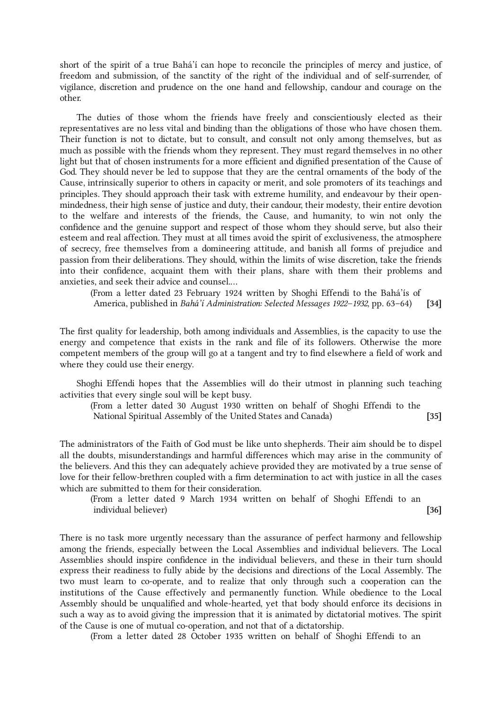short of the spirit of a true Bahá'í can hope to reconcile the principles of mercy and justice, of freedom and submission, of the sanctity of the right of the individual and of self-surrender, of vigilance, discretion and prudence on the one hand and fellowship, candour and courage on the other.

The duties of those whom the friends have freely and conscientiously elected as their representatives are no less vital and binding than the obligations of those who have chosen them. Their function is not to dictate, but to consult, and consult not only among themselves, but as much as possible with the friends whom they represent. They must regard themselves in no other light but that of chosen instruments for a more efficient and dignified presentation of the Cause of God. They should never be led to suppose that they are the central ornaments of the body of the Cause, intrinsically superior to others in capacity or merit, and sole promoters of its teachings and principles. They should approach their task with extreme humility, and endeavour by their openmindedness, their high sense of justice and duty, their candour, their modesty, their entire devotion to the welfare and interests of the friends, the Cause, and humanity, to win not only the confidence and the genuine support and respect of those whom they should serve, but also their esteem and real affection. They must at all times avoid the spirit of exclusiveness, the atmosphere of secrecy, free themselves from a domineering attitude, and banish all forms of prejudice and passion from their deliberations. They should, within the limits of wise discretion, take the friends into their confidence, acquaint them with their plans, share with them their problems and anxieties, and seek their advice and counsel.…

(From a letter dated 23 February 1924 written by Shoghi Effendi to the Bahá'ís of America, published in Bahá'í Administration: Selected Messages 1922–1932, pp. 63–64) [34]

The first quality for leadership, both among individuals and Assemblies, is the capacity to use the energy and competence that exists in the rank and file of its followers. Otherwise the more competent members of the group will go at a tangent and try to find elsewhere a field of work and where they could use their energy.

Shoghi Effendi hopes that the Assemblies will do their utmost in planning such teaching activities that every single soul will be kept busy.

(From a letter dated 30 August 1930 written on behalf of Shoghi Effendi to the National Spiritual Assembly of the United States and Canada) [35]

The administrators of the Faith of God must be like unto shepherds. Their aim should be to dispel all the doubts, misunderstandings and harmful differences which may arise in the community of the believers. And this they can adequately achieve provided they are motivated by a true sense of love for their fellow-brethren coupled with a firm determination to act with justice in all the cases which are submitted to them for their consideration.

(From a letter dated 9 March 1934 written on behalf of Shoghi Effendi to an individual believer) [36]

There is no task more urgently necessary than the assurance of perfect harmony and fellowship among the friends, especially between the Local Assemblies and individual believers. The Local Assemblies should inspire confidence in the individual believers, and these in their turn should express their readiness to fully abide by the decisions and directions of the Local Assembly. The two must learn to co-operate, and to realize that only through such a cooperation can the institutions of the Cause effectively and permanently function. While obedience to the Local Assembly should be unqualified and whole-hearted, yet that body should enforce its decisions in such a way as to avoid giving the impression that it is animated by dictatorial motives. The spirit of the Cause is one of mutual co-operation, and not that of a dictatorship.

(From a letter dated 28 October 1935 written on behalf of Shoghi Effendi to an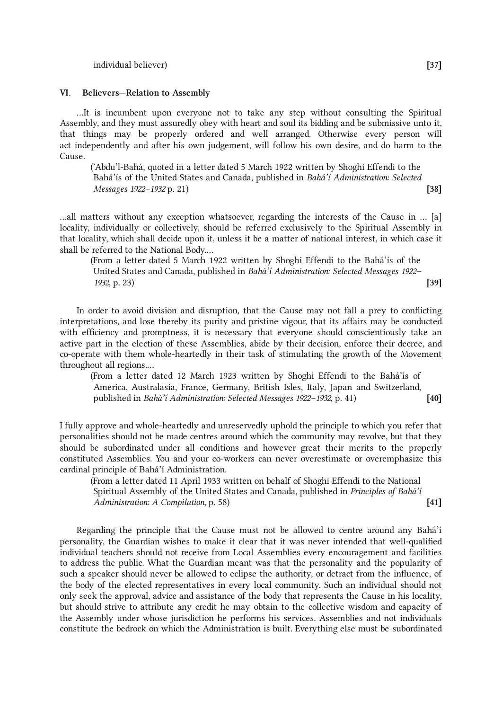individual believer) [37]

### VI. Believers—Relation to Assembly

…It is incumbent upon everyone not to take any step without consulting the Spiritual Assembly, and they must assuredly obey with heart and soul its bidding and be submissive unto it, that things may be properly ordered and well arranged. Otherwise every person will act independently and after his own judgement, will follow his own desire, and do harm to the Cause.

('Abdu'l-Bahá, quoted in a letter dated 5 March 1922 written by Shoghi Effendi to the Bahá'ís of the United States and Canada, published in Bahá'í Administration: Selected Messages 1922–1932 p. 21) [38]

…all matters without any exception whatsoever, regarding the interests of the Cause in … [a] locality, individually or collectively, should be referred exclusively to the Spiritual Assembly in that locality, which shall decide upon it, unless it be a matter of national interest, in which case it shall be referred to the National Body.…

(From a letter dated 5 March 1922 written by Shoghi Effendi to the Bahá'ís of the United States and Canada, published in Bahá'í Administration: Selected Messages 1922–  $1932, p. 23$  [39]

In order to avoid division and disruption, that the Cause may not fall a prey to conflicting interpretations, and lose thereby its purity and pristine vigour, that its affairs may be conducted with efficiency and promptness, it is necessary that everyone should conscientiously take an active part in the election of these Assemblies, abide by their decision, enforce their decree, and co-operate with them whole-heartedly in their task of stimulating the growth of the Movement throughout all regions.…

(From a letter dated 12 March 1923 written by Shoghi Effendi to the Bahá'ís of America, Australasia, France, Germany, British Isles, Italy, Japan and Switzerland, published in Bahá'í Administration: Selected Messages 1922–1932, p. 41) [40]

I fully approve and whole-heartedly and unreservedly uphold the principle to which you refer that personalities should not be made centres around which the community may revolve, but that they should be subordinated under all conditions and however great their merits to the properly constituted Assemblies. You and your co-workers can never overestimate or overemphasize this cardinal principle of Bahá'í Administration.

(From a letter dated 11 April 1933 written on behalf of Shoghi Effendi to the National Spiritual Assembly of the United States and Canada, published in Principles of Bahá'í Administration: A Compilation, p. 58) [41]

Regarding the principle that the Cause must not be allowed to centre around any Bahá'í personality, the Guardian wishes to make it clear that it was never intended that well-qualified individual teachers should not receive from Local Assemblies every encouragement and facilities to address the public. What the Guardian meant was that the personality and the popularity of such a speaker should never be allowed to eclipse the authority, or detract from the influence, of the body of the elected representatives in every local community. Such an individual should not only seek the approval, advice and assistance of the body that represents the Cause in his locality, but should strive to attribute any credit he may obtain to the collective wisdom and capacity of the Assembly under whose jurisdiction he performs his services. Assemblies and not individuals constitute the bedrock on which the Administration is built. Everything else must be subordinated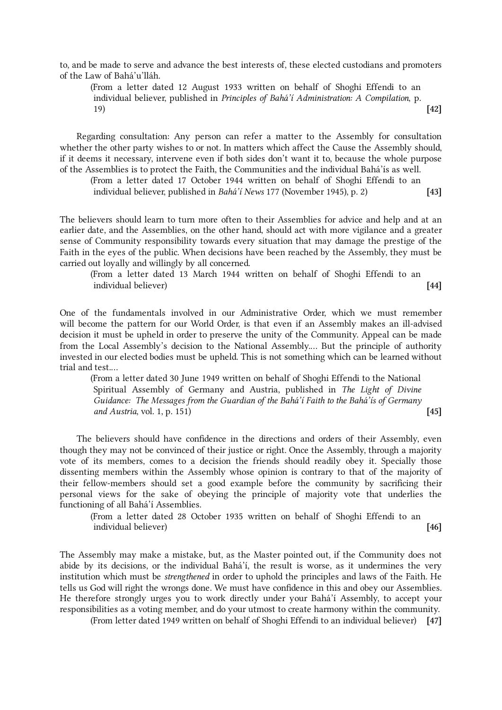to, and be made to serve and advance the best interests of, these elected custodians and promoters of the Law of Bahá'u'lláh.

(From a letter dated 12 August 1933 written on behalf of Shoghi Effendi to an individual believer, published in Principles of Bahá'í Administration: A Compilation, p. 19)  $[42]$ 

Regarding consultation: Any person can refer a matter to the Assembly for consultation whether the other party wishes to or not. In matters which affect the Cause the Assembly should, if it deems it necessary, intervene even if both sides don't want it to, because the whole purpose of the Assemblies is to protect the Faith, the Communities and the individual Bahá'ís as well.

(From a letter dated 17 October 1944 written on behalf of Shoghi Effendi to an individual believer, published in Bahá'í News 177 (November 1945), p. 2) [43]

The believers should learn to turn more often to their Assemblies for advice and help and at an earlier date, and the Assemblies, on the other hand, should act with more vigilance and a greater sense of Community responsibility towards every situation that may damage the prestige of the Faith in the eyes of the public. When decisions have been reached by the Assembly, they must be carried out loyally and willingly by all concerned.

(From a letter dated 13 March 1944 written on behalf of Shoghi Effendi to an individual believer) [44]

One of the fundamentals involved in our Administrative Order, which we must remember will become the pattern for our World Order, is that even if an Assembly makes an ill-advised decision it must be upheld in order to preserve the unity of the Community. Appeal can be made from the Local Assembly's decision to the National Assembly.… But the principle of authority invested in our elected bodies must be upheld. This is not something which can be learned without trial and test.…

(From a letter dated 30 June 1949 written on behalf of Shoghi Effendi to the National Spiritual Assembly of Germany and Austria, published in The Light of Divine Guidance: The Messages from the Guardian of the Bahá'í Faith to the Bahá'ís of Germany and Austria, vol. 1, p. 151)  $[45]$ 

The believers should have confidence in the directions and orders of their Assembly, even though they may not be convinced of their justice or right. Once the Assembly, through a majority vote of its members, comes to a decision the friends should readily obey it. Specially those dissenting members within the Assembly whose opinion is contrary to that of the majority of their fellow-members should set a good example before the community by sacrificing their personal views for the sake of obeying the principle of majority vote that underlies the functioning of all Bahá'í Assemblies.

(From a letter dated 28 October 1935 written on behalf of Shoghi Effendi to an individual believer) [46]

The Assembly may make a mistake, but, as the Master pointed out, if the Community does not abide by its decisions, or the individual Bahá'í, the result is worse, as it undermines the very institution which must be strengthened in order to uphold the principles and laws of the Faith. He tells us God will right the wrongs done. We must have confidence in this and obey our Assemblies. He therefore strongly urges you to work directly under your Bahá'í Assembly, to accept your responsibilities as a voting member, and do your utmost to create harmony within the community.

(From letter dated 1949 written on behalf of Shoghi Effendi to an individual believer) [47]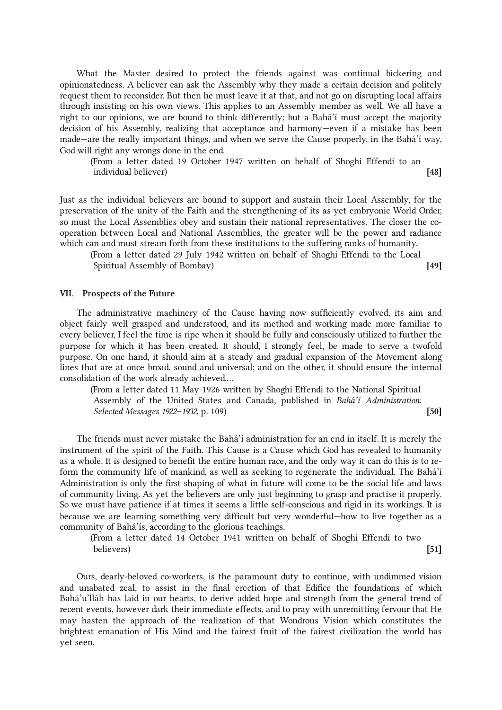What the Master desired to protect the friends against was continual bickering and opinionatedness. A believer can ask the Assembly why they made a certain decision and politely request them to reconsider. But then he must leave it at that, and not go on disrupting local affairs through insisting on his own views. This applies to an Assembly member as well. We all have a right to our opinions, we are bound to think differently; but a Bahá'í must accept the majority decision of his Assembly, realizing that acceptance and harmony—even if a mistake has been made—are the really important things, and when we serve the Cause properly, in the Bahá'í way, God will right any wrongs done in the end.

(From a letter dated 19 October 1947 written on behalf of Shoghi Effendi to an individual believer) [48]

Just as the individual believers are bound to support and sustain their Local Assembly, for the preservation of the unity of the Faith and the strengthening of its as yet embryonic World Order, so must the Local Assemblies obey and sustain their national representatives. The closer the cooperation between Local and National Assemblies, the greater will be the power and radiance which can and must stream forth from these institutions to the suffering ranks of humanity.

(From a letter dated 29 July 1942 written on behalf of Shoghi Effendi to the Local Spiritual Assembly of Bombay) [49]

## VII. Prospects of the Future

The administrative machinery of the Cause having now sufficiently evolved, its aim and object fairly well grasped and understood, and its method and working made more familiar to every believer, I feel the time is ripe when it should be fully and consciously utilized to further the purpose for which it has been created. It should, I strongly feel, be made to serve a twofold purpose. On one hand, it should aim at a steady and gradual expansion of the Movement along lines that are at once broad, sound and universal; and on the other, it should ensure the internal consolidation of the work already achieved.…

(From a letter dated 11 May 1926 written by Shoghi Effendi to the National Spiritual Assembly of the United States and Canada, published in Bahá'í Administration: Selected Messages 1922–1932, p. 109) [50]

The friends must never mistake the Bahá'í administration for an end in itself. It is merely the instrument of the spirit of the Faith. This Cause is a Cause which God has revealed to humanity as a whole. It is designed to benefit the entire human race, and the only way it can do this is to reform the community life of mankind, as well as seeking to regenerate the individual. The Bahá'í Administration is only the first shaping of what in future will come to be the social life and laws of community living. As yet the believers are only just beginning to grasp and practise it properly. So we must have patience if at times it seems a little self-conscious and rigid in its workings. It is because we are learning something very difficult but very wonderful—how to live together as a community of Bahá'ís, according to the glorious teachings.

(From a letter dated 14 October 1941 written on behalf of Shoghi Effendi to two believers) [51]

Ours, dearly-beloved co-workers, is the paramount duty to continue, with undimmed vision and unabated zeal, to assist in the final erection of that Edifice the foundations of which Bahá'u'lláh has laid in our hearts, to derive added hope and strength from the general trend of recent events, however dark their immediate effects, and to pray with unremitting fervour that He may hasten the approach of the realization of that Wondrous Vision which constitutes the brightest emanation of His Mind and the fairest fruit of the fairest civilization the world has yet seen.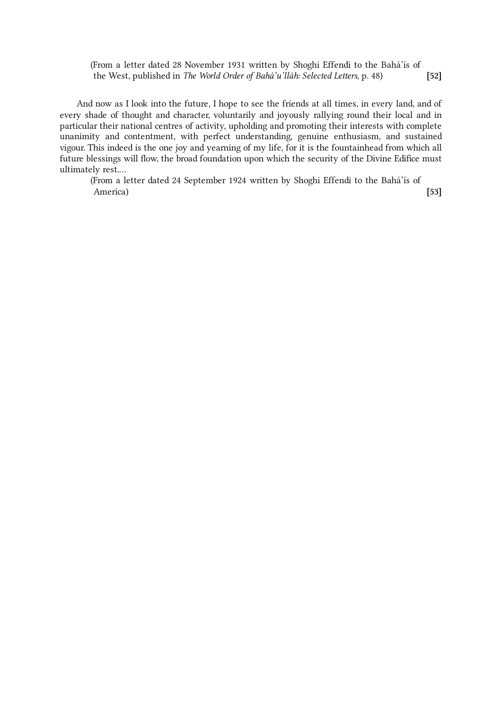(From a letter dated 28 November 1931 written by Shoghi Effendi to the Bahá'ís of the West, published in The World Order of Bahá'u'lláh: Selected Letters, p. 48) [52]

And now as I look into the future, I hope to see the friends at all times, in every land, and of every shade of thought and character, voluntarily and joyously rallying round their local and in particular their national centres of activity, upholding and promoting their interests with complete unanimity and contentment, with perfect understanding, genuine enthusiasm, and sustained vigour. This indeed is the one joy and yearning of my life, for it is the fountainhead from which all future blessings will flow, the broad foundation upon which the security of the Divine Edifice must ultimately rest.…

(From a letter dated 24 September 1924 written by Shoghi Effendi to the Bahá'ís of America) [53]